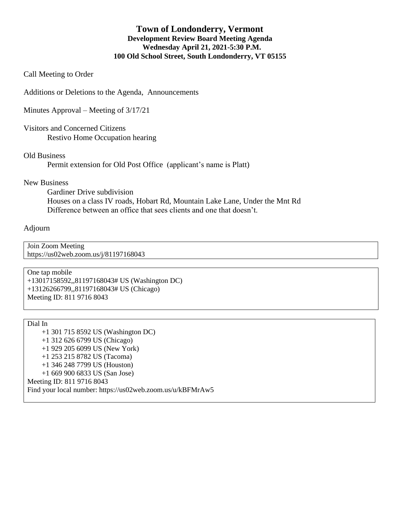### **Town of Londonderry, Vermont Development Review Board Meeting Agenda Wednesday April 21, 2021-5:30 P.M. 100 Old School Street, South Londonderry, VT 05155**

Call Meeting to Order

Additions or Deletions to the Agenda, Announcements

Minutes Approval – Meeting of 3/17/21

Visitors and Concerned Citizens Restivo Home Occupation hearing

Old Business

Permit extension for Old Post Office (applicant's name is Platt)

#### New Business

Gardiner Drive subdivision Houses on a class IV roads, Hobart Rd, Mountain Lake Lane, Under the Mnt Rd Difference between an office that sees clients and one that doesn't.

#### Adjourn

Join Zoom Meeting https://us02web.zoom.us/j/81197168043

One tap mobile +13017158592,,81197168043# US (Washington DC) +13126266799,,81197168043# US (Chicago) Meeting ID: 811 9716 8043

Dial In +1 301 715 8592 US (Washington DC) +1 312 626 6799 US (Chicago) +1 929 205 6099 US (New York) +1 253 215 8782 US (Tacoma) +1 346 248 7799 US (Houston) +1 669 900 6833 US (San Jose) Meeting ID: 811 9716 8043 Find your local number: https://us02web.zoom.us/u/kBFMrAw5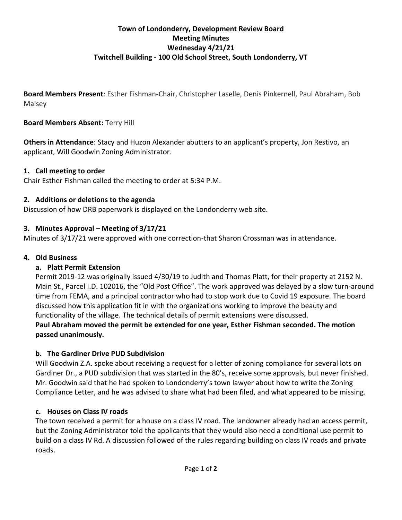# **Town of Londonderry, Development Review Board Meeting Minutes Wednesday 4/21/21 Twitchell Building - 100 Old School Street, South Londonderry, VT**

**Board Members Present**: Esther Fishman-Chair, Christopher Laselle, Denis Pinkernell, Paul Abraham, Bob Maisey

## **Board Members Absent:** Terry Hill

**Others in Attendance**: Stacy and Huzon Alexander abutters to an applicant's property, Jon Restivo, an applicant, Will Goodwin Zoning Administrator.

## **1. Call meeting to order**

Chair Esther Fishman called the meeting to order at 5:34 P.M.

## **2. Additions or deletions to the agenda**

Discussion of how DRB paperwork is displayed on the Londonderry web site.

## **3. Minutes Approval – Meeting of 3/17/21**

Minutes of 3/17/21 were approved with one correction-that Sharon Crossman was in attendance.

## **4. Old Business**

### **a. Platt Permit Extension**

Permit 2019-12 was originally issued 4/30/19 to Judith and Thomas Platt, for their property at 2152 N. Main St., Parcel I.D. 102016, the "Old Post Office". The work approved was delayed by a slow turn-around time from FEMA, and a principal contractor who had to stop work due to Covid 19 exposure. The board discussed how this application fit in with the organizations working to improve the beauty and functionality of the village. The technical details of permit extensions were discussed. **Paul Abraham moved the permit be extended for one year, Esther Fishman seconded. The motion passed unanimously.**

## **b. The Gardiner Drive PUD Subdivision**

Will Goodwin Z.A. spoke about receiving a request for a letter of zoning compliance for several lots on Gardiner Dr., a PUD subdivision that was started in the 80's, receive some approvals, but never finished. Mr. Goodwin said that he had spoken to Londonderry's town lawyer about how to write the Zoning Compliance Letter, and he was advised to share what had been filed, and what appeared to be missing.

### **c. Houses on Class IV roads**

The town received a permit for a house on a class IV road. The landowner already had an access permit, but the Zoning Administrator told the applicants that they would also need a conditional use permit to build on a class IV Rd. A discussion followed of the rules regarding building on class IV roads and private roads.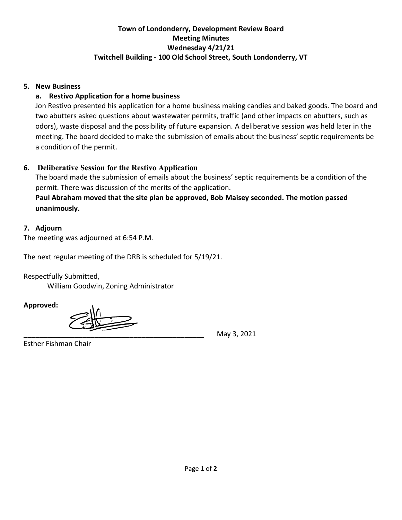# **Town of Londonderry, Development Review Board Meeting Minutes Wednesday 4/21/21 Twitchell Building - 100 Old School Street, South Londonderry, VT**

### **5. New Business**

### **a. Restivo Application for a home business**

Jon Restivo presented his application for a home business making candies and baked goods. The board and two abutters asked questions about wastewater permits, traffic (and other impacts on abutters, such as odors), waste disposal and the possibility of future expansion. A deliberative session was held later in the meeting. The board decided to make the submission of emails about the business' septic requirements be a condition of the permit.

## **6. Deliberative Session for the Restivo Application**

The board made the submission of emails about the business' septic requirements be a condition of the permit. There was discussion of the merits of the application.

# **Paul Abraham moved that the site plan be approved, Bob Maisey seconded. The motion passed unanimously.**

### **7. Adjourn**

The meeting was adjourned at 6:54 P.M.

The next regular meeting of the DRB is scheduled for 5/19/21.

Respectfully Submitted,

William Goodwin, Zoning Administrator

**Approved:**

\_\_\_\_\_\_\_\_\_\_\_\_\_\_\_\_\_\_\_\_\_\_\_\_\_\_\_\_\_\_\_\_\_\_\_\_\_\_\_\_\_\_\_\_\_\_ May 3, 2021

Esther Fishman Chair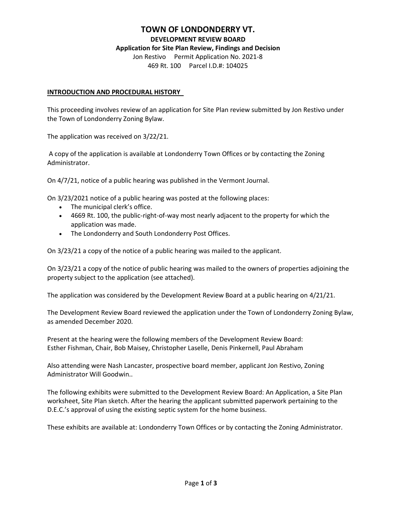#### **TOWN OF LONDONDERRY VT.**

**DEVELOPMENT REVIEW BOARD**

#### **Application for Site Plan Review, Findings and Decision**

Jon Restivo Permit Application No. 2021-8 469 Rt. 100 Parcel I.D.#: 104025

#### **INTRODUCTION AND PROCEDURAL HISTORY**

This proceeding involves review of an application for Site Plan review submitted by Jon Restivo under the Town of Londonderry Zoning Bylaw.

The application was received on 3/22/21.

A copy of the application is available at Londonderry Town Offices or by contacting the Zoning Administrator.

On 4/7/21, notice of a public hearing was published in the Vermont Journal.

On 3/23/2021 notice of a public hearing was posted at the following places:

- The municipal clerk's office.
- 4669 Rt. 100, the public-right-of-way most nearly adjacent to the property for which the application was made.
- The Londonderry and South Londonderry Post Offices.

On 3/23/21 a copy of the notice of a public hearing was mailed to the applicant.

On 3/23/21 a copy of the notice of public hearing was mailed to the owners of properties adjoining the property subject to the application (see attached).

The application was considered by the Development Review Board at a public hearing on 4/21/21.

The Development Review Board reviewed the application under the Town of Londonderry Zoning Bylaw, as amended December 2020.

Present at the hearing were the following members of the Development Review Board: Esther Fishman, Chair, Bob Maisey, Christopher Laselle, Denis Pinkernell, Paul Abraham

Also attending were Nash Lancaster, prospective board member, applicant Jon Restivo, Zoning Administrator Will Goodwin..

The following exhibits were submitted to the Development Review Board: An Application, a Site Plan worksheet, Site Plan sketch. After the hearing the applicant submitted paperwork pertaining to the D.E.C.'s approval of using the existing septic system for the home business.

These exhibits are available at: Londonderry Town Offices or by contacting the Zoning Administrator.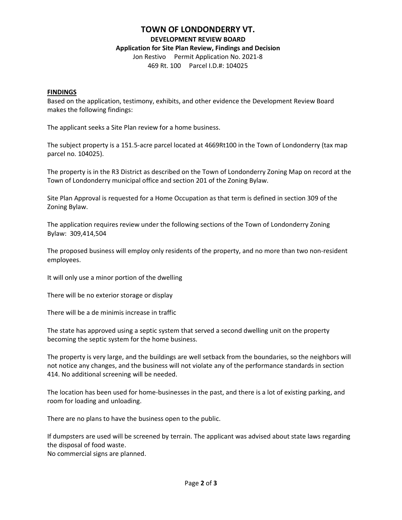#### **TOWN OF LONDONDERRY VT.**

**DEVELOPMENT REVIEW BOARD**

#### **Application for Site Plan Review, Findings and Decision**

Jon Restivo Permit Application No. 2021-8 469 Rt. 100 Parcel I.D.#: 104025

#### **FINDINGS**

Based on the application, testimony, exhibits, and other evidence the Development Review Board makes the following findings:

The applicant seeks a Site Plan review for a home business.

The subject property is a 151.5-acre parcel located at 4669Rt100 in the Town of Londonderry (tax map parcel no. 104025).

The property is in the R3 District as described on the Town of Londonderry Zoning Map on record at the Town of Londonderry municipal office and section 201 of the Zoning Bylaw.

Site Plan Approval is requested for a Home Occupation as that term is defined in section 309 of the Zoning Bylaw.

The application requires review under the following sections of the Town of Londonderry Zoning Bylaw: 309,414,504

The proposed business will employ only residents of the property, and no more than two non-resident employees.

It will only use a minor portion of the dwelling

There will be no exterior storage or display

There will be a de minimis increase in traffic

The state has approved using a septic system that served a second dwelling unit on the property becoming the septic system for the home business.

The property is very large, and the buildings are well setback from the boundaries, so the neighbors will not notice any changes, and the business will not violate any of the performance standards in section 414. No additional screening will be needed.

The location has been used for home-businesses in the past, and there is a lot of existing parking, and room for loading and unloading.

There are no plans to have the business open to the public.

If dumpsters are used will be screened by terrain. The applicant was advised about state laws regarding the disposal of food waste.

No commercial signs are planned.